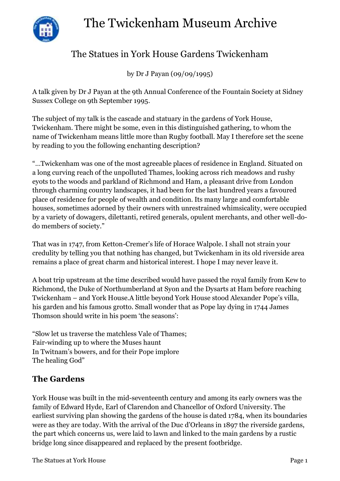



# The Statues in York House Gardens Twickenham

by Dr J Payan (09/09/1995)

A talk given by Dr J Payan at the 9th Annual Conference of the Fountain Society at Sidney Sussex College on 9th September 1995.

The subject of my talk is the cascade and statuary in the gardens of York House, Twickenham. There might be some, even in this distinguished gathering, to whom the name of Twickenham means little more than Rugby football. May I therefore set the scene by reading to you the following enchanting description?

"…Twickenham was one of the most agreeable places of residence in England. Situated on a long curving reach of the unpolluted Thames, looking across rich meadows and rushy eyots to the woods and parkland of Richmond and Ham, a pleasant drive from London through charming country landscapes, it had been for the last hundred years a favoured place of residence for people of wealth and condition. Its many large and comfortable houses, sometimes adorned by their owners with unrestrained whimsicality, were occupied by a variety of dowagers, dilettanti, retired generals, opulent merchants, and other well-dodo members of society."

That was in 1747, from Ketton-Cremer's life of Horace Walpole. I shall not strain your credulity by telling you that nothing has changed, but Twickenham in its old riverside area remains a place of great charm and historical interest. I hope I may never leave it.

A boat trip upstream at the time described would have passed the royal family from Kew to Richmond, the Duke of Northumberland at Syon and the Dysarts at Ham before reaching Twickenham – and York House.A little beyond York House stood Alexander Pope's villa, his garden and his famous grotto. Small wonder that as Pope lay dying in 1744 James Thomson should write in his poem 'the seasons':

"Slow let us traverse the matchless Vale of Thames; Fair-winding up to where the Muses haunt In Twitnam's bowers, and for their Pope implore The healing God"

## **The Gardens**

York House was built in the mid-seventeenth century and among its early owners was the family of Edward Hyde, Earl of Clarendon and Chancellor of Oxford University. The earliest surviving plan showing the gardens of the house is dated 1784, when its boundaries were as they are today. With the arrival of the Duc d'Orleans in 1897 the riverside gardens, the part which concerns us, were laid to lawn and linked to the main gardens by a rustic bridge long since disappeared and replaced by the present footbridge.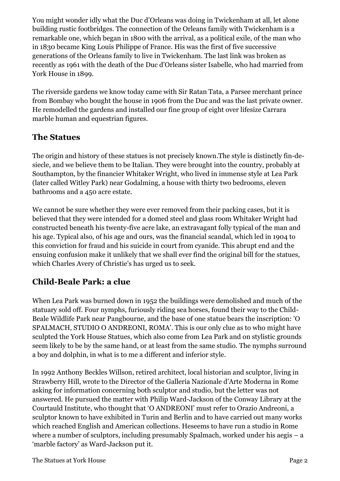You might wonder idly what the Duc d'Orleans was doing in Twickenham at all, let alone building rustic footbridges. The connection of the Orleans family with Twickenham is a remarkable one, which began in 1800 with the arrival, as a political exile, of the man who in 1830 became King Louis Philippe of France. His was the first of five successive generations of the Orleans family to live in Twickenham. The last link was broken as recently as 1961 with the death of the Duc d'Orleans sister Isabelle, who had married from York House in 1899.

The riverside gardens we know today came with Sir Ratan Tata, a Parsee merchant prince from Bombay who bought the house in 1906 from the Duc and was the last private owner. He remodelled the gardens and installed our fine group of eight over lifesize Carrara marble human and equestrian figures.

## **The Statues**

The origin and history of these statues is not precisely known.The style is distinctly fin-desiecle, and we believe them to be Italian. They were brought into the country, probably at Southampton, by the financier Whitaker Wright, who lived in immense style at Lea Park (later called Witley Park) near Godalming, a house with thirty two bedrooms, eleven bathrooms and a 450 acre estate.

We cannot be sure whether they were ever removed from their packing cases, but it is believed that they were intended for a domed steel and glass room Whitaker Wright had constructed beneath his twenty-five acre lake, an extravagant folly typical of the man and his age. Typical also, of his age and ours, was the financial scandal, which led in 1904 to this conviction for fraud and his suicide in court from cyanide. This abrupt end and the ensuing confusion make it unlikely that we shall ever find the original bill for the statues, which Charles Avery of Christie's has urged us to seek.

## **Child-Beale Park: a clue**

When Lea Park was burned down in 1952 the buildings were demolished and much of the statuary sold off. Four nymphs, furiously riding sea horses, found their way to the Child-Beale Wildlife Park near Pangbourne, and the base of one statue bears the inscription: 'O SPALMACH, STUDIO O ANDREONI, ROMA'. This is our only clue as to who might have sculpted the York House Statues, which also come from Lea Park and on stylistic grounds seem likely to be by the same hand, or at least from the same studio. The nymphs surround a boy and dolphin, in what is to me a different and inferior style.

In 1992 Anthony Beckles Willson, retired architect, local historian and sculptor, living in Strawberry Hill, wrote to the Director of the Galleria Nazionale d'Arte Moderna in Rome asking for information concerning both sculptor and studio, but the letter was not answered. He pursued the matter with Philip Ward-Jackson of the Conway Library at the Courtauld Institute, who thought that 'O ANDREONI' must refer to Orazio Andreoni, a sculptor known to have exhibited in Turin and Berlin and to have carried out many works which reached English and American collections. Heseems to have run a studio in Rome where a number of sculptors, including presumably Spalmach, worked under his aegis – a 'marble factory' as Ward-Jackson put it.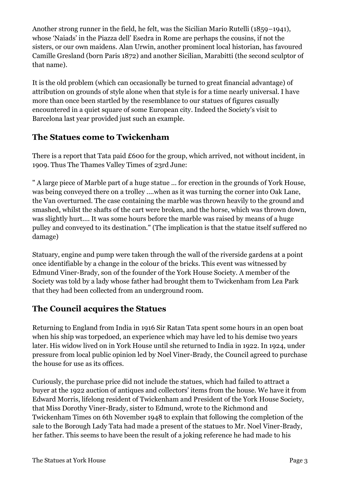Another strong runner in the field, he felt, was the Sicilian Mario Rutelli (1859–1941), whose 'Naiads' in the Piazza dell' Esedra in Rome are perhaps the cousins, if not the sisters, or our own maidens. Alan Urwin, another prominent local historian, has favoured Camille Gresland (born Paris 1872) and another Sicilian, Marabitti (the second sculptor of that name).

It is the old problem (which can occasionally be turned to great financial advantage) of attribution on grounds of style alone when that style is for a time nearly universal. I have more than once been startled by the resemblance to our statues of figures casually encountered in a quiet square of some European city. Indeed the Society's visit to Barcelona last year provided just such an example.

## **The Statues come to Twickenham**

There is a report that Tata paid £600 for the group, which arrived, not without incident, in 1909. Thus The Thames Valley Times of 23rd June:

" A large piece of Marble part of a huge statue ... for erection in the grounds of York House, was being conveyed there on a trolley ....when as it was turning the corner into Oak Lane, the Van overturned. The case containing the marble was thrown heavily to the ground and smashed, whilst the shafts of the cart were broken, and the horse, which was thrown down, was slightly hurt.... It was some hours before the marble was raised by means of a huge pulley and conveyed to its destination." (The implication is that the statue itself suffered no damage)

Statuary, engine and pump were taken through the wall of the riverside gardens at a point once identifiable by a change in the colour of the bricks. This event was witnessed by Edmund Viner-Brady, son of the founder of the York House Society. A member of the Society was told by a lady whose father had brought them to Twickenham from Lea Park that they had been collected from an underground room.

## **The Council acquires the Statues**

Returning to England from India in 1916 Sir Ratan Tata spent some hours in an open boat when his ship was torpedoed, an experience which may have led to his demise two years later. His widow lived on in York House until she returned to India in 1922. In 1924, under pressure from local public opinion led by Noel Viner-Brady, the Council agreed to purchase the house for use as its offices.

Curiously, the purchase price did not include the statues, which had failed to attract a buyer at the 1922 auction of antiques and collectors' items from the house. We have it from Edward Morris, lifelong resident of Twickenham and President of the York House Society, that Miss Dorothy Viner-Brady, sister to Edmund, wrote to the Richmond and Twickenham Times on 6th November 1948 to explain that following the completion of the sale to the Borough Lady Tata had made a present of the statues to Mr. Noel Viner-Brady, her father. This seems to have been the result of a joking reference he had made to his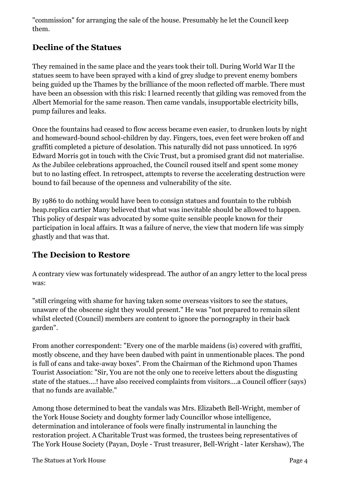"commission" for arranging the sale of the house. Presumably he let the Council keep them.

## **Decline of the Statues**

They remained in the same place and the years took their toll. During World War II the statues seem to have been sprayed with a kind of grey sludge to prevent enemy bombers being guided up the Thames by the brilliance of the moon reflected off marble. There must have been an obsession with this risk: I learned recently that gilding was removed from the Albert Memorial for the same reason. Then came vandals, insupportable electricity bills, pump failures and leaks.

Once the fountains had ceased to flow access became even easier, to drunken louts by night and homeward-bound school-children by day. Fingers, toes, even feet were broken off and graffiti completed a picture of desolation. This naturally did not pass unnoticed. In 1976 Edward Morris got in touch with the Civic Trust, but a promised grant did not materialise. As the Jubilee celebrations approached, the Council roused itself and spent some money but to no lasting effect. In retrospect, attempts to reverse the accelerating destruction were bound to fail because of the openness and vulnerability of the site.

By 1986 to do nothing would have been to consign statues and fountain to the rubbish heap.replica cartier Many believed that what was inevitable should be allowed to happen. This policy of despair was advocated by some quite sensible people known for their participation in local affairs. It was a failure of nerve, the view that modern life was simply ghastly and that was that.

## **The Decision to Restore**

A contrary view was fortunately widespread. The author of an angry letter to the local press was:

"still cringeing with shame for having taken some overseas visitors to see the statues, unaware of the obscene sight they would present." He was "not prepared to remain silent whilst elected (Council) members are content to ignore the pornography in their back garden".

From another correspondent: "Every one of the marble maidens (is) covered with graffiti, mostly obscene, and they have been daubed with paint in unmentionable places. The pond is full of cans and take-away boxes". From the Chairman of the Richmond upon Thames Tourist Association: "Sir, You are not the only one to receive letters about the disgusting state of the statues....! have also received complaints from visitors....a Council officer (says) that no funds are available."

Among those determined to beat the vandals was Mrs. Elizabeth Bell-Wright, member of the York House Society and doughty former lady Councillor whose intelligence, determination and intolerance of fools were finally instrumental in launching the restoration project. A Charitable Trust was formed, the trustees being representatives of The York House Society (Payan, Doyle - Trust treasurer, Bell-Wright - later Kershaw), The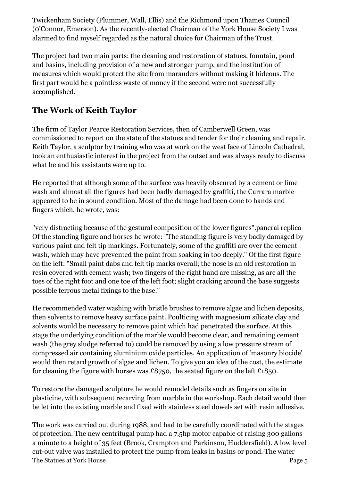Twickenham Society (Plummer, Wall, Ellis) and the Richmond upon Thames Council (0'Connor, Emerson). As the recently-elected Chairman of the York House Society I was alarmed to find myself regarded as the natural choice for Chairman of the Trust.

The project had two main parts: the cleaning and restoration of statues, fountain, pond and basins, including provision of a new and stronger pump, and the institution of measures which would protect the site from marauders without making it hideous. The first part would be a pointless waste of money if the second were not successfully accomplished.

## **The Work of Keith Taylor**

The firm of Taylor Pearce Restoration Services, then of Camberwell Green, was commissioned to report on the state of the statues and tender for their cleaning and repair. Keith Taylor, a sculptor by training who was at work on the west face of Lincoln Cathedral, took an enthusiastic interest in the project from the outset and was always ready to discuss what he and his assistants were up to.

He reported that although some of the surface was heavily obscured by a cement or lime wash and almost all the figures had been badly damaged by graffiti, the Carrara marble appeared to be in sound condition. Most of the damage had been done to hands and fingers which, he wrote, was:

"very distracting because of the gestural composition of the lower figures".panerai replica Of the standing figure and horses he wrote: "The standing figure is very badly damaged by various paint and felt tip markings. Fortunately, some of the graffiti are over the cement wash, which may have prevented the paint from soaking in too deeply." Of the first figure on the left: "Small paint dabs and felt tip marks overall; the nose is an old restoration in resin covered with cement wash; two fingers of the right hand are missing, as are all the toes of the right foot and one toe of the left foot; slight cracking around the base suggests possible ferrous metal fixings to the base."

He recommended water washing with bristle brushes to remove algae and lichen deposits, then solvents to remove heavy surface paint. Poulticing with magnesium silicate clay and solvents would be necessary to remove paint which had penetrated the surface. At this stage the underlying condition of the marble would become clear, and remaining cement wash (the grey sludge referred to) could be removed by using a low pressure stream of compressed air containing aluminium oxide particles. An application of 'masonry biocide' would then retard growth of algae and lichen. To give you an idea of the cost, the estimate for cleaning the figure with horses was £8750, the seated figure on the left £1850.

To restore the damaged sculpture he would remodel details such as fingers on site in plasticine, with subsequent recarving from marble in the workshop. Each detail would then be let into the existing marble and fixed with stainless steel dowels set with resin adhesive.

The Statues at York House Page 5 The work was carried out during 1988, and had to be carefully coordinated with the stages of protection. The new centrifugal pump had a 7.5hp motor capable of raising 300 gallons a minute to a height of 35 feet (Brook, Crampton and Parkinson, Huddersfield). A low level cut-out valve was installed to protect the pump from leaks in basins or pond. The water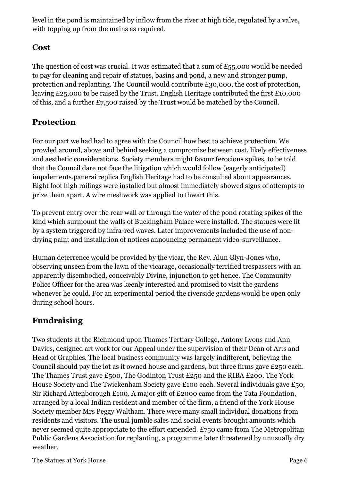level in the pond is maintained by inflow from the river at high tide, regulated by a valve, with topping up from the mains as required.

#### **Cost**

The question of cost was crucial. It was estimated that a sum of  $£55,000$  would be needed to pay for cleaning and repair of statues, basins and pond, a new and stronger pump, protection and replanting. The Council would contribute £30,000, the cost of protection, leaving £25,000 to be raised by the Trust. English Heritage contributed the first £10,000 of this, and a further £7,500 raised by the Trust would be matched by the Council.

## **Protection**

For our part we had had to agree with the Council how best to achieve protection. We prowled around, above and behind seeking a compromise between cost, likely effectiveness and aesthetic considerations. Society members might favour ferocious spikes, to be told that the Council dare not face the litigation which would follow (eagerly anticipated) impalements.panerai replica English Heritage had to be consulted about appearances. Eight foot high railings were installed but almost immediately showed signs of attempts to prize them apart. A wire meshwork was applied to thwart this.

To prevent entry over the rear wall or through the water of the pond rotating spikes of the kind which surmount the walls of Buckingham Palace were installed. The statues were lit by a system triggered by infra-red waves. Later improvements included the use of nondrying paint and installation of notices announcing permanent video-surveillance.

Human deterrence would be provided by the vicar, the Rev. Alun Glyn-Jones who, observing unseen from the lawn of the vicarage, occasionally terrified trespassers with an apparently disembodied, conceivably Divine, injunction to get hence. The Community Police Officer for the area was keenly interested and promised to visit the gardens whenever he could. For an experimental period the riverside gardens would be open only during school hours.

## **Fundraising**

Two students at the Richmond upon Thames Tertiary College, Antony Lyons and Ann Davies, designed art work for our Appeal under the supervision of their Dean of Arts and Head of Graphics. The local business community was largely indifferent, believing the Council should pay the lot as it owned house and gardens, but three firms gave £250 each. The Thames Trust gave £500, The Godinton Trust £250 and the RIBA £200. The York House Society and The Twickenham Society gave £100 each. Several individuals gave £50, Sir Richard Attenborough £100. A major gift of £2000 came from the Tata Foundation, arranged by a local Indian resident and member of the firm, a friend of the York House Society member Mrs Peggy Waltham. There were many small individual donations from residents and visitors. The usual jumble sales and social events brought amounts which never seemed quite appropriate to the effort expended. £750 came from The Metropolitan Public Gardens Association for replanting, a programme later threatened by unusually dry weather.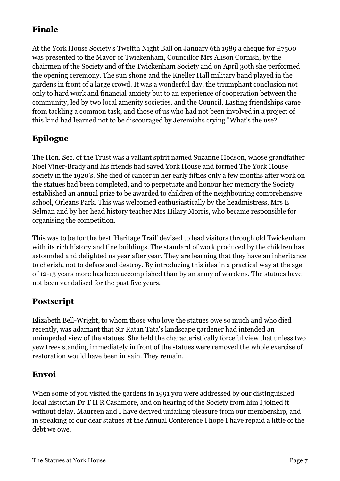## **Finale**

At the York House Society's Twelfth Night Ball on January 6th 1989 a cheque for £7500 was presented to the Mayor of Twickenham, Councillor Mrs Alison Cornish, by the chairmen of the Society and of the Twickenham Society and on April 30th she performed the opening ceremony. The sun shone and the Kneller Hall military band played in the gardens in front of a large crowd. It was a wonderful day, the triumphant conclusion not only to hard work and financial anxiety but to an experience of cooperation between the community, led by two local amenity societies, and the Council. Lasting friendships came from tackling a common task, and those of us who had not been involved in a project of this kind had learned not to be discouraged by Jeremiahs crying "What's the use?".

# **Epilogue**

The Hon. Sec. of the Trust was a valiant spirit named Suzanne Hodson, whose grandfather Noel Viner-Brady and his friends had saved York House and formed The York House society in the 1920's. She died of cancer in her early fifties only a few months after work on the statues had been completed, and to perpetuate and honour her memory the Society established an annual prize to be awarded to children of the neighbouring comprehensive school, Orleans Park. This was welcomed enthusiastically by the headmistress, Mrs E Selman and by her head history teacher Mrs Hilary Morris, who became responsible for organising the competition.

This was to be for the best 'Heritage Trail' devised to lead visitors through old Twickenham with its rich history and fine buildings. The standard of work produced by the children has astounded and delighted us year after year. They are learning that they have an inheritance to cherish, not to deface and destroy. By introducing this idea in a practical way at the age of 12-13 years more has been accomplished than by an army of wardens. The statues have not been vandalised for the past five years.

## **Postscript**

Elizabeth Bell-Wright, to whom those who love the statues owe so much and who died recently, was adamant that Sir Ratan Tata's landscape gardener had intended an unimpeded view of the statues. She held the characteristically forceful view that unless two yew trees standing immediately in front of the statues were removed the whole exercise of restoration would have been in vain. They remain.

## **Envoi**

When some of you visited the gardens in 1991 you were addressed by our distinguished local historian Dr T H R Cashmore, and on hearing of the Society from him I joined it without delay. Maureen and I have derived unfailing pleasure from our membership, and in speaking of our dear statues at the Annual Conference I hope I have repaid a little of the debt we owe.